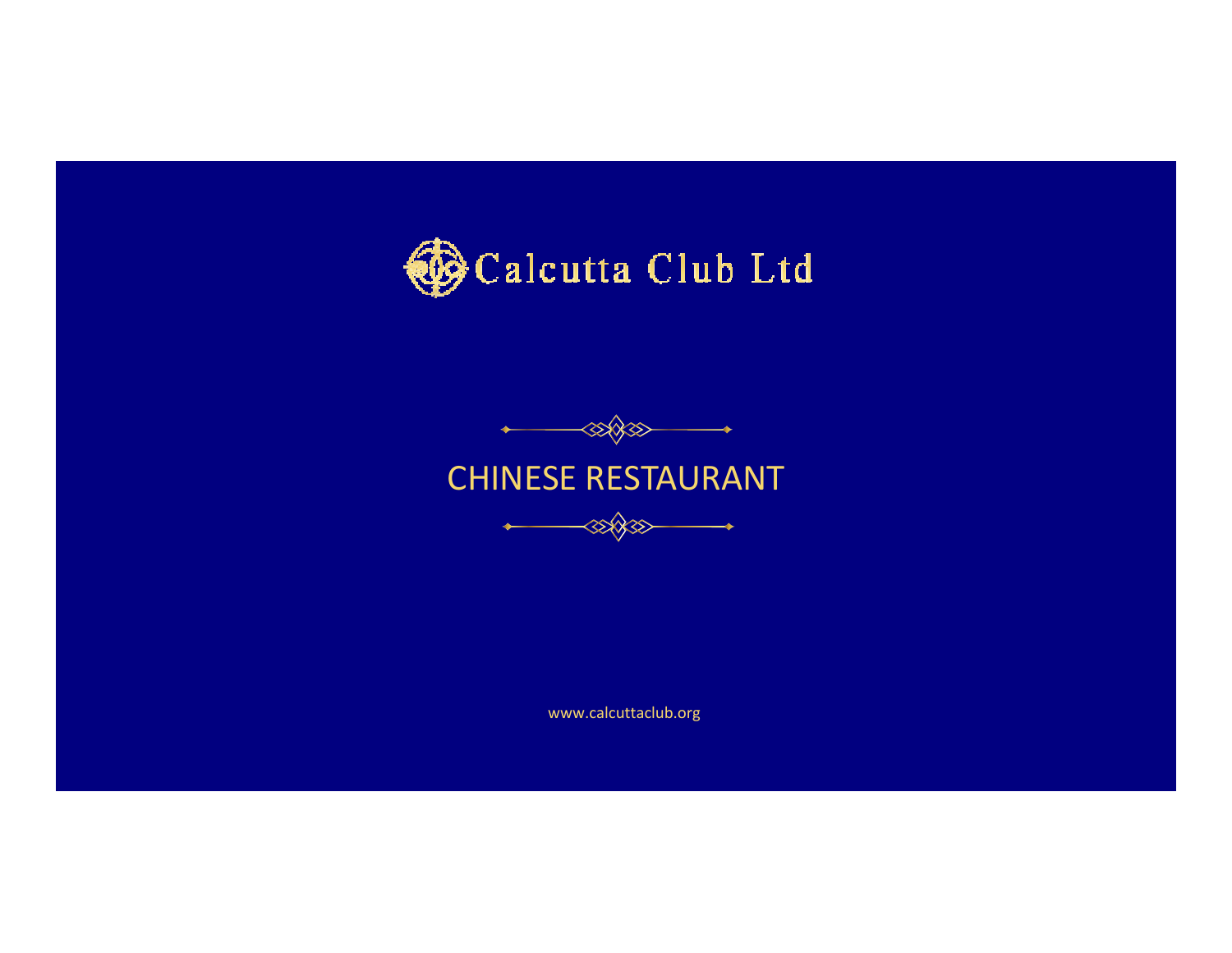





www.calcuttaclub.org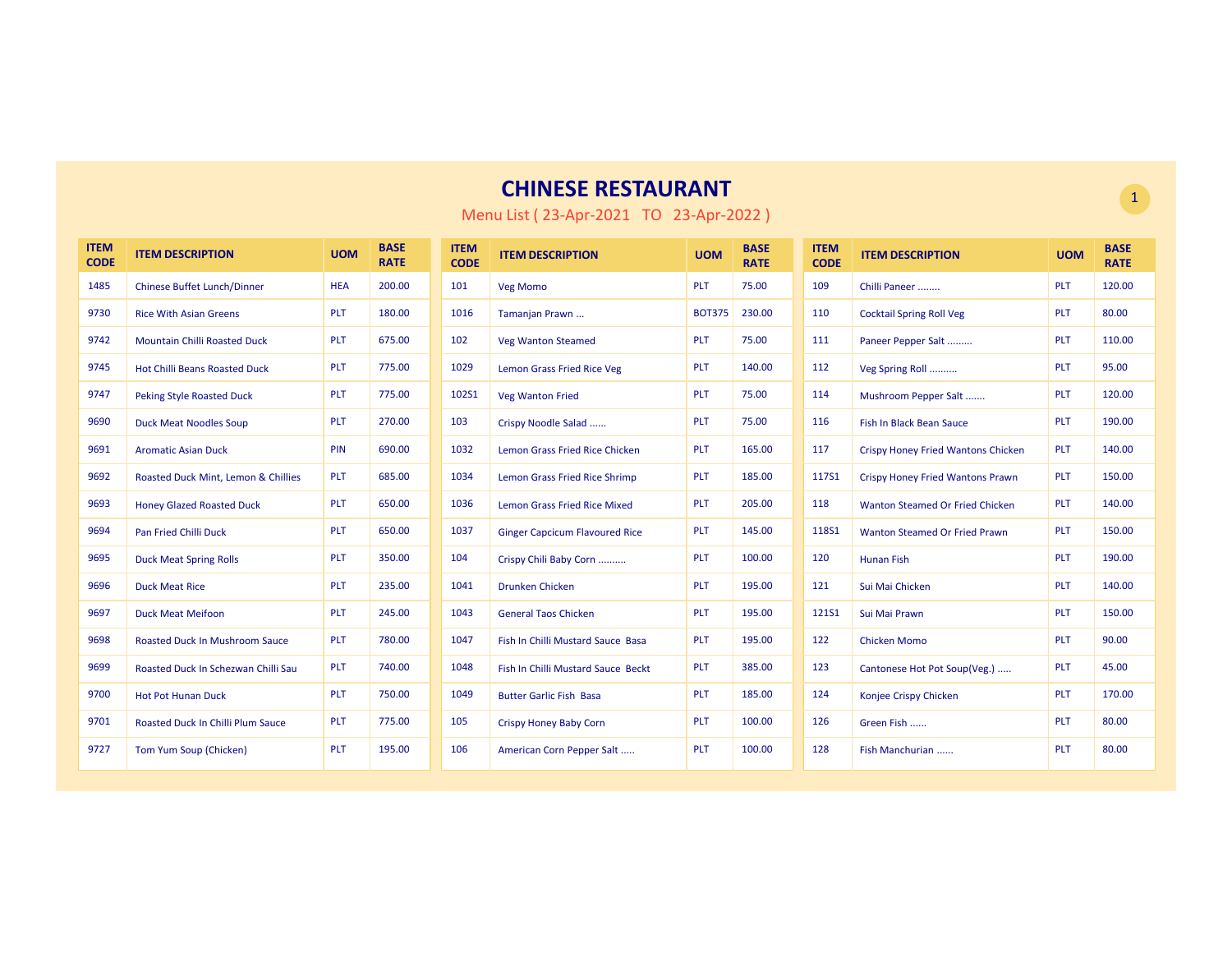| <b>ITEM</b><br><b>CODE</b> | <b>ITEM DESCRIPTION</b>                  | <b>UOM</b> | <b>BASE</b><br><b>RATE</b> | <b>ITEM</b><br><b>CODE</b> | <b>ITEM DESCRIPTION</b>               | <b>UOM</b>    | <b>BASE</b><br><b>RATE</b> | <b>ITEM</b><br><b>CODE</b> | <b>ITEM DESCRIPTION</b>                   | <b>UOM</b> | <b>BASE</b><br><b>RATE</b> |
|----------------------------|------------------------------------------|------------|----------------------------|----------------------------|---------------------------------------|---------------|----------------------------|----------------------------|-------------------------------------------|------------|----------------------------|
| 1485                       | <b>Chinese Buffet Lunch/Dinner</b>       | <b>HEA</b> | 200.00                     | 101                        | <b>Veg Momo</b>                       | <b>PLT</b>    | 75.00                      | 109                        | Chilli Paneer                             | <b>PLT</b> | 120.00                     |
| 9730                       | <b>Rice With Asian Greens</b>            | <b>PLT</b> | 180.00                     | 1016                       | Tamanjan Prawn                        | <b>BOT375</b> | 230.00                     | 110                        | <b>Cocktail Spring Roll Veg</b>           | <b>PLT</b> | 80.00                      |
| 9742                       | <b>Mountain Chilli Roasted Duck</b>      | <b>PLT</b> | 675.00                     | 102                        | <b>Veg Wanton Steamed</b>             | <b>PLT</b>    | 75.00                      | 111                        | Paneer Pepper Salt                        | <b>PLT</b> | 110.00                     |
| 9745                       | <b>Hot Chilli Beans Roasted Duck</b>     | PLT        | 775.00                     | 1029                       | <b>Lemon Grass Fried Rice Veg</b>     | <b>PLT</b>    | 140.00                     | 112                        | Veg Spring Roll                           | PLT        | 95.00                      |
| 9747                       | <b>Peking Style Roasted Duck</b>         | <b>PLT</b> | 775.00                     | 102S1                      | <b>Veg Wanton Fried</b>               | <b>PLT</b>    | 75.00                      | 114                        | Mushroom Pepper Salt                      | <b>PLT</b> | 120.00                     |
| 9690                       | <b>Duck Meat Noodles Soup</b>            | <b>PLT</b> | 270.00                     | 103                        | Crispy Noodle Salad                   | <b>PLT</b>    | 75.00                      | 116                        | Fish In Black Bean Sauce                  | <b>PLT</b> | 190.00                     |
| 9691                       | <b>Aromatic Asian Duck</b>               | PIN        | 690.00                     | 1032                       | Lemon Grass Fried Rice Chicken        | <b>PLT</b>    | 165.00                     | 117                        | <b>Crispy Honey Fried Wantons Chicken</b> | <b>PLT</b> | 140.00                     |
| 9692                       | Roasted Duck Mint, Lemon & Chillies      | <b>PLT</b> | 685.00                     | 1034                       | Lemon Grass Fried Rice Shrimp         | <b>PLT</b>    | 185.00                     | 117S1                      | Crispy Honey Fried Wantons Prawn          | <b>PLT</b> | 150.00                     |
| 9693                       | <b>Honey Glazed Roasted Duck</b>         | PLT        | 650.00                     | 1036                       | <b>Lemon Grass Fried Rice Mixed</b>   | <b>PLT</b>    | 205.00                     | 118                        | Wanton Steamed Or Fried Chicken           | <b>PLT</b> | 140.00                     |
| 9694                       | Pan Fried Chilli Duck                    | <b>PLT</b> | 650.00                     | 1037                       | <b>Ginger Capcicum Flavoured Rice</b> | <b>PLT</b>    | 145.00                     | 118S1                      | Wanton Steamed Or Fried Prawn             | <b>PLT</b> | 150.00                     |
| 9695                       | <b>Duck Meat Spring Rolls</b>            | PLT        | 350.00                     | 104                        | Crispy Chili Baby Corn                | <b>PLT</b>    | 100.00                     | 120                        | <b>Hunan Fish</b>                         | <b>PLT</b> | 190.00                     |
| 9696                       | <b>Duck Meat Rice</b>                    | <b>PLT</b> | 235.00                     | 1041                       | <b>Drunken Chicken</b>                | <b>PLT</b>    | 195.00                     | 121                        | Sui Mai Chicken                           | <b>PLT</b> | 140.00                     |
| 9697                       | <b>Duck Meat Meifoon</b>                 | <b>PLT</b> | 245.00                     | 1043                       | <b>General Taos Chicken</b>           | <b>PLT</b>    | 195.00                     | 121S1                      | Sui Mai Prawn                             | <b>PLT</b> | 150.00                     |
| 9698                       | <b>Roasted Duck In Mushroom Sauce</b>    | <b>PLT</b> | 780.00                     | 1047                       | Fish In Chilli Mustard Sauce Basa     | <b>PLT</b>    | 195.00                     | 122                        | <b>Chicken Momo</b>                       | PLT        | 90.00                      |
| 9699                       | Roasted Duck In Schezwan Chilli Sau      | PLT        | 740.00                     | 1048                       | Fish In Chilli Mustard Sauce Beckt    | <b>PLT</b>    | 385.00                     | 123                        | Cantonese Hot Pot Soup(Veg.)              | <b>PLT</b> | 45.00                      |
| 9700                       | <b>Hot Pot Hunan Duck</b>                | <b>PLT</b> | 750.00                     | 1049                       | <b>Butter Garlic Fish Basa</b>        | <b>PLT</b>    | 185.00                     | 124                        | Konjee Crispy Chicken                     | <b>PLT</b> | 170.00                     |
| 9701                       | <b>Roasted Duck In Chilli Plum Sauce</b> | <b>PLT</b> | 775.00                     | 105                        | <b>Crispy Honey Baby Corn</b>         | PLT           | 100.00                     | 126                        | Green Fish                                | <b>PLT</b> | 80.00                      |
| 9727                       | Tom Yum Soup (Chicken)                   | PLT        | 195.00                     | 106                        | American Corn Pepper Salt             | PLT           | 100.00                     | 128                        | Fish Manchurian                           | PLT        | 80.00                      |

Menu List ( 23-Apr-2021 TO 23-Apr-2022 )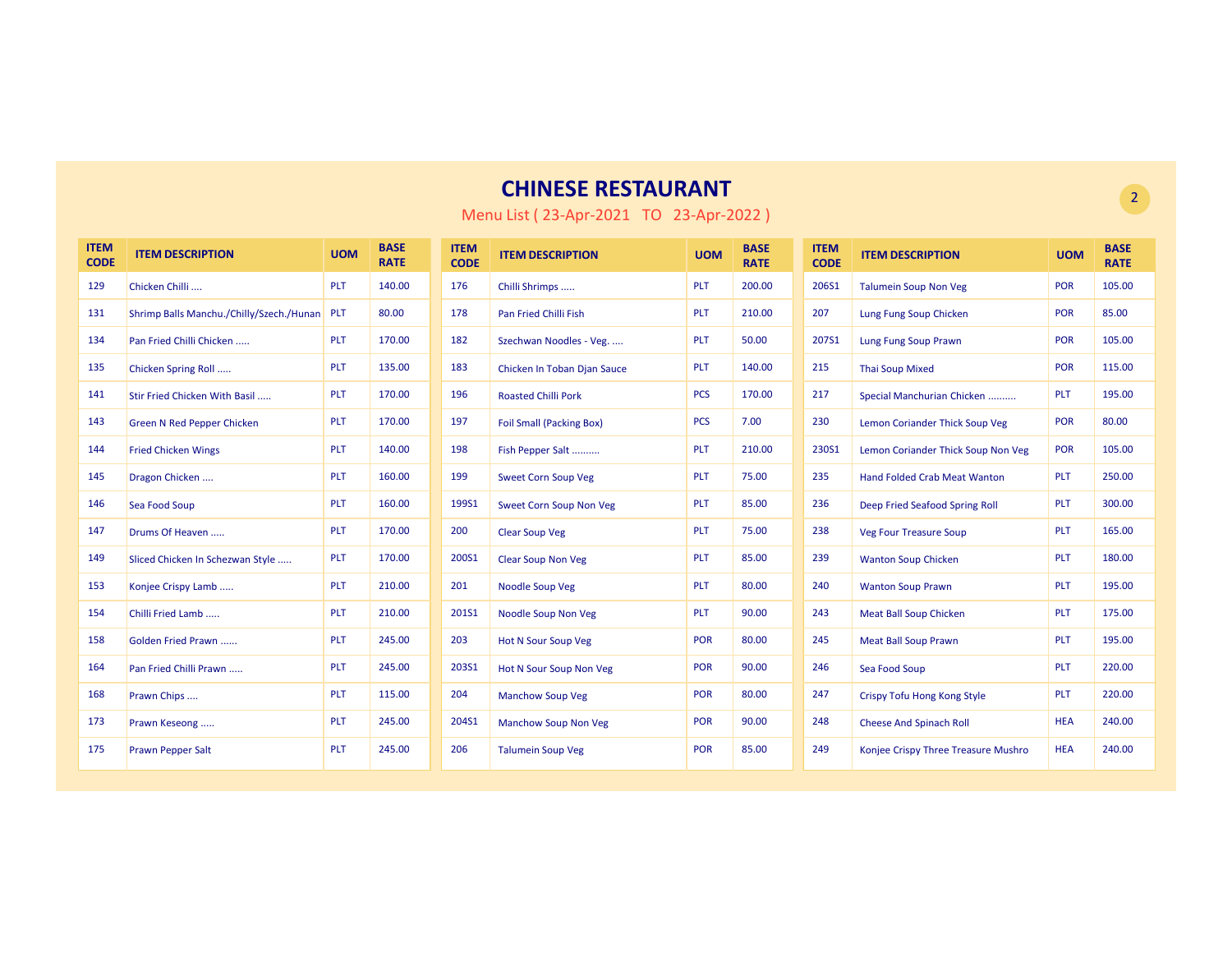| <b>ITEM</b><br><b>CODE</b> | <b>ITEM DESCRIPTION</b>                  | <b>UOM</b> | <b>BASE</b><br><b>RATE</b> | <b>ITEM</b><br><b>CODE</b> | <b>ITEM DESCRIPTION</b>         | <b>UOM</b> | <b>BASE</b><br><b>RATE</b> | <b>ITEM</b><br><b>CODE</b> | <b>ITEM DESCRIPTION</b>             | <b>UOM</b> | <b>BASE</b><br><b>RATE</b> |
|----------------------------|------------------------------------------|------------|----------------------------|----------------------------|---------------------------------|------------|----------------------------|----------------------------|-------------------------------------|------------|----------------------------|
| 129                        | Chicken Chilli                           | PLT        | 140.00                     | 176                        | Chilli Shrimps                  | <b>PLT</b> | 200.00                     | 206S1                      | <b>Talumein Soup Non Veg</b>        | <b>POR</b> | 105.00                     |
| 131                        | Shrimp Balls Manchu./Chilly/Szech./Hunan | <b>PLT</b> | 80.00                      | 178                        | Pan Fried Chilli Fish           | <b>PLT</b> | 210.00                     | 207                        | Lung Fung Soup Chicken              | POR        | 85.00                      |
| 134                        | Pan Fried Chilli Chicken                 | PLT        | 170.00                     | 182                        | Szechwan Noodles - Veg.         | <b>PLT</b> | 50.00                      | 207S1                      | Lung Fung Soup Prawn                | <b>POR</b> | 105.00                     |
| 135                        | Chicken Spring Roll                      | <b>PLT</b> | 135.00                     | 183                        | Chicken In Toban Djan Sauce     | <b>PLT</b> | 140.00                     | 215                        | <b>Thai Soup Mixed</b>              | <b>POR</b> | 115.00                     |
| 141                        | Stir Fried Chicken With Basil            | PLT        | 170.00                     | 196                        | <b>Roasted Chilli Pork</b>      | <b>PCS</b> | 170.00                     | 217                        | Special Manchurian Chicken          | PLT        | 195.00                     |
| 143                        | <b>Green N Red Pepper Chicken</b>        | <b>PLT</b> | 170.00                     | 197                        | <b>Foil Small (Packing Box)</b> | <b>PCS</b> | 7.00                       | 230                        | Lemon Coriander Thick Soup Veg      | POR        | 80.00                      |
| 144                        | <b>Fried Chicken Wings</b>               | <b>PLT</b> | 140.00                     | 198                        | Fish Pepper Salt                | <b>PLT</b> | 210.00                     | 230S1                      | Lemon Coriander Thick Soup Non Veg  | <b>POR</b> | 105.00                     |
| 145                        | Dragon Chicken                           | <b>PLT</b> | 160.00                     | 199                        | <b>Sweet Corn Soup Veg</b>      | <b>PLT</b> | 75.00                      | 235                        | <b>Hand Folded Crab Meat Wanton</b> | <b>PLT</b> | 250.00                     |
| 146                        | Sea Food Soup                            | PLT        | 160.00                     | 199S1                      | <b>Sweet Corn Soup Non Veg</b>  | <b>PLT</b> | 85.00                      | 236                        | Deep Fried Seafood Spring Roll      | <b>PLT</b> | 300.00                     |
| 147                        | Drums Of Heaven                          | <b>PLT</b> | 170.00                     | 200                        | <b>Clear Soup Veg</b>           | <b>PLT</b> | 75.00                      | 238                        | <b>Veg Four Treasure Soup</b>       | <b>PLT</b> | 165.00                     |
| 149                        | Sliced Chicken In Schezwan Style         | <b>PLT</b> | 170.00                     | 200S1                      | <b>Clear Soup Non Veg</b>       | <b>PLT</b> | 85.00                      | 239                        | <b>Wanton Soup Chicken</b>          | <b>PLT</b> | 180.00                     |
| 153                        | Konjee Crispy Lamb                       | <b>PLT</b> | 210.00                     | 201                        | <b>Noodle Soup Veg</b>          | <b>PLT</b> | 80.00                      | 240                        | <b>Wanton Soup Prawn</b>            | PLT        | 195.00                     |
| 154                        | Chilli Fried Lamb                        | <b>PLT</b> | 210.00                     | 201S1                      | Noodle Soup Non Veg             | <b>PLT</b> | 90.00                      | 243                        | <b>Meat Ball Soup Chicken</b>       | <b>PLT</b> | 175.00                     |
| 158                        | Golden Fried Prawn                       | PLT        | 245.00                     | 203                        | <b>Hot N Sour Soup Veg</b>      | <b>POR</b> | 80.00                      | 245                        | <b>Meat Ball Soup Prawn</b>         | <b>PLT</b> | 195.00                     |
| 164                        | Pan Fried Chilli Prawn                   | <b>PLT</b> | 245.00                     | 203S1                      | Hot N Sour Soup Non Veg         | <b>POR</b> | 90.00                      | 246                        | Sea Food Soup                       | <b>PLT</b> | 220.00                     |
| 168                        | Prawn Chips                              | PLT        | 115.00                     | 204                        | <b>Manchow Soup Veg</b>         | <b>POR</b> | 80.00                      | 247                        | Crispy Tofu Hong Kong Style         | PLT        | 220.00                     |
| 173                        | Prawn Keseong                            | <b>PLT</b> | 245.00                     | 204S1                      | <b>Manchow Soup Non Veg</b>     | <b>POR</b> | 90.00                      | 248                        | <b>Cheese And Spinach Roll</b>      | <b>HEA</b> | 240.00                     |
| 175                        | <b>Prawn Pepper Salt</b>                 | <b>PLT</b> | 245.00                     | 206                        | <b>Talumein Soup Veg</b>        | <b>POR</b> | 85.00                      | 249                        | Konjee Crispy Three Treasure Mushro | <b>HEA</b> | 240.00                     |

Menu List ( 23-Apr-2021 TO 23-Apr-2022 )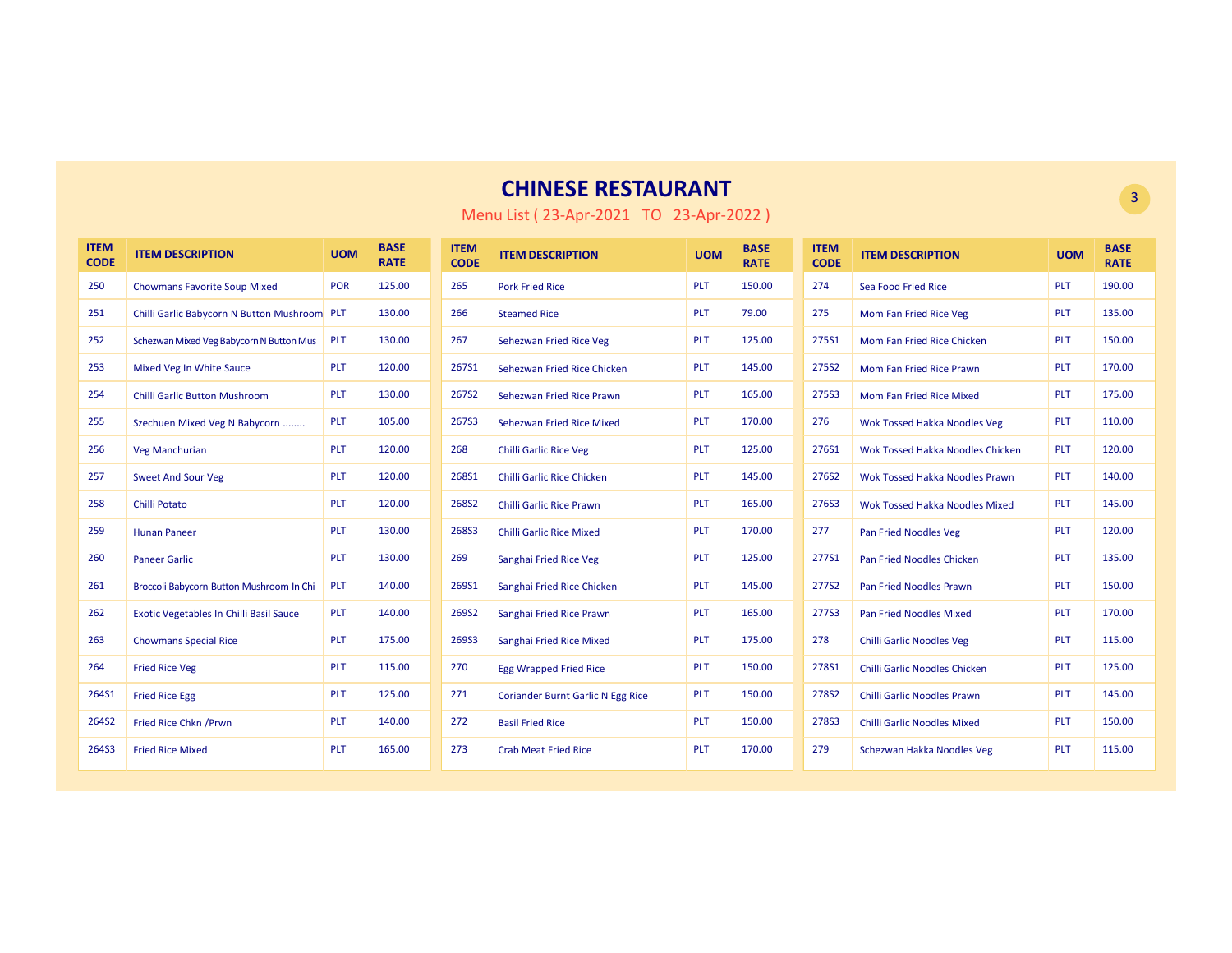| <b>ITEM</b><br><b>CODE</b> | <b>ITEM DESCRIPTION</b>                  | <b>UOM</b> | <b>BASE</b><br><b>RATE</b> | <b>ITEM</b><br><b>CODE</b> | <b>ITEM DESCRIPTION</b>                  | <b>UOM</b> | <b>BASE</b><br><b>RATE</b> | <b>ITEM</b><br><b>CODE</b> | <b>ITEM DESCRIPTION</b>              | <b>UOM</b> | <b>BASE</b><br><b>RATE</b> |
|----------------------------|------------------------------------------|------------|----------------------------|----------------------------|------------------------------------------|------------|----------------------------|----------------------------|--------------------------------------|------------|----------------------------|
| 250                        | <b>Chowmans Favorite Soup Mixed</b>      | <b>POR</b> | 125.00                     | 265                        | <b>Pork Fried Rice</b>                   | <b>PLT</b> | 150.00                     | 274                        | Sea Food Fried Rice                  | <b>PLT</b> | 190.00                     |
| 251                        | Chilli Garlic Babycorn N Button Mushroom | <b>PLT</b> | 130.00                     | 266                        | <b>Steamed Rice</b>                      | <b>PLT</b> | 79.00                      | 275                        | Mom Fan Fried Rice Veg               | <b>PLT</b> | 135.00                     |
| 252                        | Schezwan Mixed Veg Babycorn N Button Mus | <b>PLT</b> | 130.00                     | 267                        | Sehezwan Fried Rice Veg                  | <b>PLT</b> | 125.00                     | 275S1                      | Mom Fan Fried Rice Chicken           | <b>PLT</b> | 150.00                     |
| 253                        | Mixed Veg In White Sauce                 | PLT        | 120.00                     | 267S1                      | Sehezwan Fried Rice Chicken              | PLT        | 145.00                     | 275S2                      | Mom Fan Fried Rice Prawn             | <b>PLT</b> | 170.00                     |
| 254                        | <b>Chilli Garlic Button Mushroom</b>     | <b>PLT</b> | 130.00                     | 267S2                      | Sehezwan Fried Rice Prawn                | <b>PLT</b> | 165.00                     | 275S3                      | Mom Fan Fried Rice Mixed             | <b>PLT</b> | 175.00                     |
| 255                        | Szechuen Mixed Veg N Babycorn            | <b>PLT</b> | 105.00                     | 267S3                      | Sehezwan Fried Rice Mixed                | <b>PLT</b> | 170.00                     | 276                        | <b>Wok Tossed Hakka Noodles Veg</b>  | <b>PLT</b> | 110.00                     |
| 256                        | Veg Manchurian                           | <b>PLT</b> | 120.00                     | 268                        | <b>Chilli Garlic Rice Veg</b>            | <b>PLT</b> | 125.00                     | 276S1                      | Wok Tossed Hakka Noodles Chicken     | <b>PLT</b> | 120.00                     |
| 257                        | <b>Sweet And Sour Veg</b>                | PLT        | 120.00                     | 268S1                      | <b>Chilli Garlic Rice Chicken</b>        | <b>PLT</b> | 145.00                     | 276S2                      | Wok Tossed Hakka Noodles Prawn       | <b>PLT</b> | 140.00                     |
| 258                        | <b>Chilli Potato</b>                     | <b>PLT</b> | 120.00                     | 268S2                      | <b>Chilli Garlic Rice Prawn</b>          | <b>PLT</b> | 165.00                     | 276S3                      | Wok Tossed Hakka Noodles Mixed       | <b>PLT</b> | 145.00                     |
| 259                        | <b>Hunan Paneer</b>                      | <b>PLT</b> | 130.00                     | 268S3                      | <b>Chilli Garlic Rice Mixed</b>          | <b>PLT</b> | 170.00                     | 277                        | <b>Pan Fried Noodles Veg</b>         | <b>PLT</b> | 120.00                     |
| 260                        | <b>Paneer Garlic</b>                     | <b>PLT</b> | 130.00                     | 269                        | Sanghai Fried Rice Veg                   | <b>PLT</b> | 125.00                     | 277S1                      | <b>Pan Fried Noodles Chicken</b>     | <b>PLT</b> | 135.00                     |
| 261                        | Broccoli Babycorn Button Mushroom In Chi | <b>PLT</b> | 140.00                     | 269S1                      | Sanghai Fried Rice Chicken               | <b>PLT</b> | 145.00                     | 277S2                      | <b>Pan Fried Noodles Prawn</b>       | <b>PLT</b> | 150.00                     |
| 262                        | Exotic Vegetables In Chilli Basil Sauce  | PLT        | 140.00                     | 269S2                      | Sanghai Fried Rice Prawn                 | PLT        | 165.00                     | 277S3                      | <b>Pan Fried Noodles Mixed</b>       | <b>PLT</b> | 170.00                     |
| 263                        | <b>Chowmans Special Rice</b>             | <b>PLT</b> | 175.00                     | 269S3                      | Sanghai Fried Rice Mixed                 | <b>PLT</b> | 175.00                     | 278                        | <b>Chilli Garlic Noodles Veg</b>     | <b>PLT</b> | 115.00                     |
| 264                        | <b>Fried Rice Veg</b>                    | PLT        | 115.00                     | 270                        | <b>Egg Wrapped Fried Rice</b>            | PLT        | 150.00                     | 278S1                      | <b>Chilli Garlic Noodles Chicken</b> | PLT        | 125.00                     |
| 264S1                      | <b>Fried Rice Egg</b>                    | PLT        | 125.00                     | 271                        | <b>Coriander Burnt Garlic N Egg Rice</b> | PLT        | 150.00                     | 278S2                      | <b>Chilli Garlic Noodles Prawn</b>   | PLT        | 145.00                     |
| 264S2                      | Fried Rice Chkn / Prwn                   | <b>PLT</b> | 140.00                     | 272                        | <b>Basil Fried Rice</b>                  | <b>PLT</b> | 150.00                     | 278S3                      | <b>Chilli Garlic Noodles Mixed</b>   | <b>PLT</b> | 150.00                     |
| 264S3                      | <b>Fried Rice Mixed</b>                  | <b>PLT</b> | 165.00                     | 273                        | <b>Crab Meat Fried Rice</b>              | <b>PLT</b> | 170.00                     | 279                        | Schezwan Hakka Noodles Veg           | PLT        | 115.00                     |

Menu List ( 23-Apr-2021 TO 23-Apr-2022 )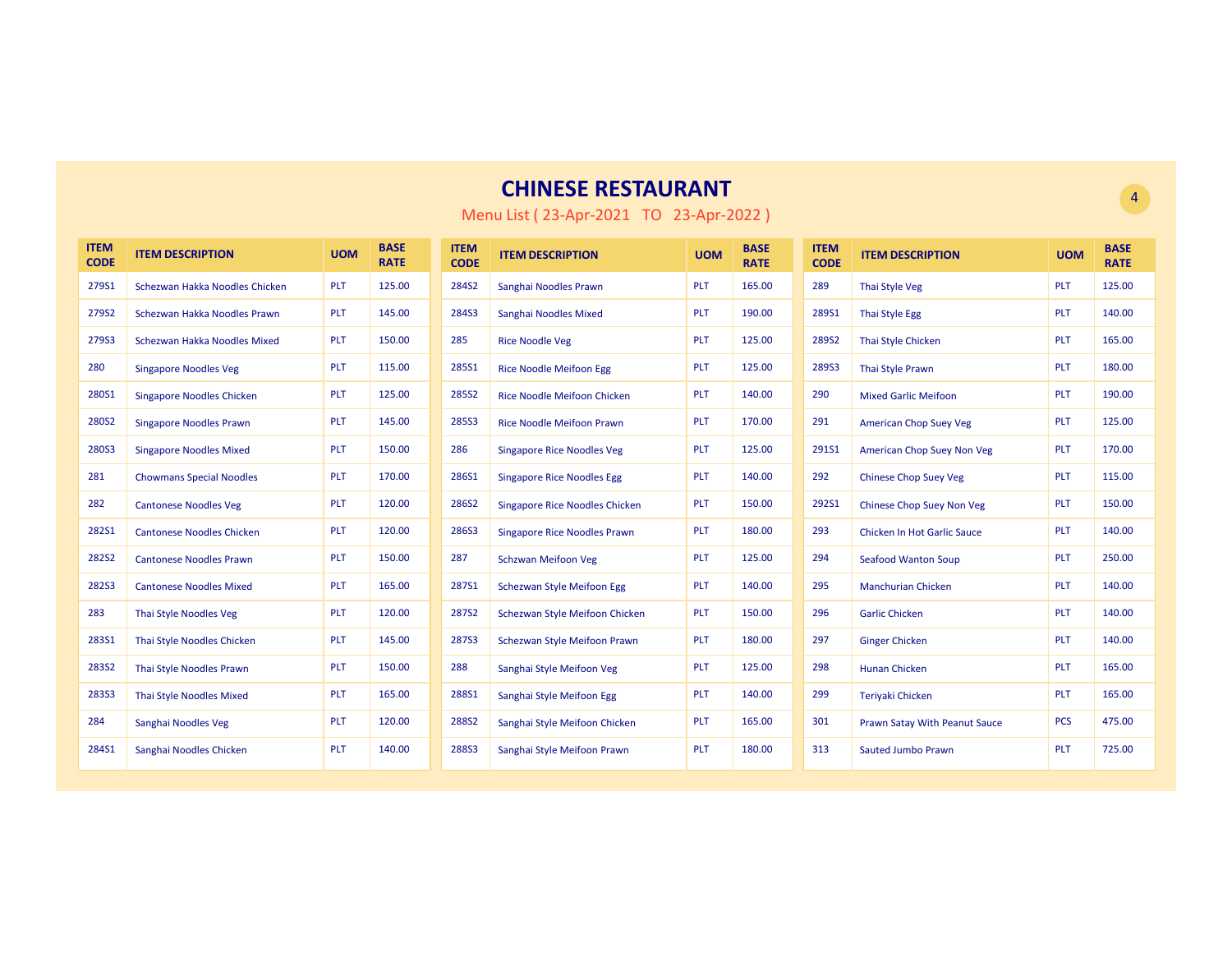| <b>ITEM</b><br><b>CODE</b> | <b>ITEM DESCRIPTION</b>          | <b>UOM</b> | <b>BASE</b><br><b>RATE</b> | <b>ITEM</b><br><b>CODE</b> | <b>ITEM DESCRIPTION</b>               | <b>UOM</b> | <b>BASE</b><br><b>RATE</b> | <b>ITEM</b><br><b>CODE</b> | <b>ITEM DESCRIPTION</b>            | <b>UOM</b> | <b>BASE</b><br><b>RATE</b> |
|----------------------------|----------------------------------|------------|----------------------------|----------------------------|---------------------------------------|------------|----------------------------|----------------------------|------------------------------------|------------|----------------------------|
| 279S1                      | Schezwan Hakka Noodles Chicken   | <b>PLT</b> | 125.00                     | 284S2                      | Sanghai Noodles Prawn                 | <b>PLT</b> | 165.00                     | 289                        | <b>Thai Style Veg</b>              | PLT        | 125.00                     |
| 279S2                      | Schezwan Hakka Noodles Prawn     | <b>PLT</b> | 145.00                     | 284S3                      | Sanghai Noodles Mixed                 | <b>PLT</b> | 190.00                     | 289S1                      | Thai Style Egg                     | PLT        | 140.00                     |
| 279S3                      | Schezwan Hakka Noodles Mixed     | <b>PLT</b> | 150.00                     | 285                        | <b>Rice Noodle Veg</b>                | PLT        | 125.00                     | 289S2                      | <b>Thai Style Chicken</b>          | PLT        | 165.00                     |
| 280                        | <b>Singapore Noodles Veg</b>     | <b>PLT</b> | 115.00                     | 285S1                      | <b>Rice Noodle Meifoon Egg</b>        | PLT        | 125.00                     | 289S3                      | <b>Thai Style Prawn</b>            | <b>PLT</b> | 180.00                     |
| 280S1                      | <b>Singapore Noodles Chicken</b> | <b>PLT</b> | 125.00                     | <b>285S2</b>               | <b>Rice Noodle Meifoon Chicken</b>    | PLT        | 140.00                     | 290                        | <b>Mixed Garlic Meifoon</b>        | PLT        | 190.00                     |
| 280S2                      | <b>Singapore Noodles Prawn</b>   | <b>PLT</b> | 145.00                     | <b>285S3</b>               | <b>Rice Noodle Meifoon Prawn</b>      | <b>PLT</b> | 170.00                     | 291                        | <b>American Chop Suey Veg</b>      | PLT        | 125.00                     |
| 280S3                      | <b>Singapore Noodles Mixed</b>   | <b>PLT</b> | 150.00                     | 286                        | <b>Singapore Rice Noodles Veg</b>     | <b>PLT</b> | 125.00                     | 291S1                      | American Chop Suey Non Veg         | PLT        | 170.00                     |
| 281                        | <b>Chowmans Special Noodles</b>  | <b>PLT</b> | 170.00                     | 286S1                      | <b>Singapore Rice Noodles Egg</b>     | <b>PLT</b> | 140.00                     | 292                        | <b>Chinese Chop Suey Veg</b>       | PLT        | 115.00                     |
| 282                        | <b>Cantonese Noodles Veg</b>     | <b>PLT</b> | 120.00                     | 286S2                      | <b>Singapore Rice Noodles Chicken</b> | <b>PLT</b> | 150.00                     | 292S1                      | <b>Chinese Chop Suey Non Veg</b>   | PLT        | 150.00                     |
| <b>282S1</b>               | <b>Cantonese Noodles Chicken</b> | <b>PLT</b> | 120.00                     | 286S3                      | <b>Singapore Rice Noodles Prawn</b>   | <b>PLT</b> | 180.00                     | 293                        | <b>Chicken In Hot Garlic Sauce</b> | <b>PLT</b> | 140.00                     |
| <b>282S2</b>               | <b>Cantonese Noodles Prawn</b>   | <b>PLT</b> | 150.00                     | 287                        | <b>Schzwan Meifoon Veg</b>            | PLT        | 125.00                     | 294                        | <b>Seafood Wanton Soup</b>         | PLT        | 250.00                     |
| <b>282S3</b>               | <b>Cantonese Noodles Mixed</b>   | PLT        | 165.00                     | 287S1                      | <b>Schezwan Style Meifoon Egg</b>     | PLT        | 140.00                     | 295                        | <b>Manchurian Chicken</b>          | PLT        | 140.00                     |
| 283                        | Thai Style Noodles Veg           | <b>PLT</b> | 120.00                     | <b>287S2</b>               | Schezwan Style Meifoon Chicken        | PLT        | 150.00                     | 296                        | <b>Garlic Chicken</b>              | PLT        | 140.00                     |
| <b>283S1</b>               | Thai Style Noodles Chicken       | <b>PLT</b> | 145.00                     | <b>287S3</b>               | <b>Schezwan Style Meifoon Prawn</b>   | <b>PLT</b> | 180.00                     | 297                        | <b>Ginger Chicken</b>              | PLT        | 140.00                     |
| <b>283S2</b>               | Thai Style Noodles Prawn         | <b>PLT</b> | 150.00                     | 288                        | Sanghai Style Meifoon Veg             | <b>PLT</b> | 125.00                     | 298                        | <b>Hunan Chicken</b>               | <b>PLT</b> | 165.00                     |
| <b>283S3</b>               | <b>Thai Style Noodles Mixed</b>  | <b>PLT</b> | 165.00                     | 288S1                      | Sanghai Style Meifoon Egg             | <b>PLT</b> | 140.00                     | 299                        | Terivaki Chicken                   | <b>PLT</b> | 165.00                     |
| 284                        | Sanghai Noodles Veg              | <b>PLT</b> | 120.00                     | 288S2                      | Sanghai Style Meifoon Chicken         | <b>PLT</b> | 165.00                     | 301                        | Prawn Satay With Peanut Sauce      | <b>PCS</b> | 475.00                     |
| 284S1                      | Sanghai Noodles Chicken          | PLT        | 140.00                     | 288S3                      | Sanghai Style Meifoon Prawn           | PLT        | 180.00                     | 313                        | <b>Sauted Jumbo Prawn</b>          | PLT        | 725.00                     |

Menu List ( 23-Apr-2021 TO 23-Apr-2022 )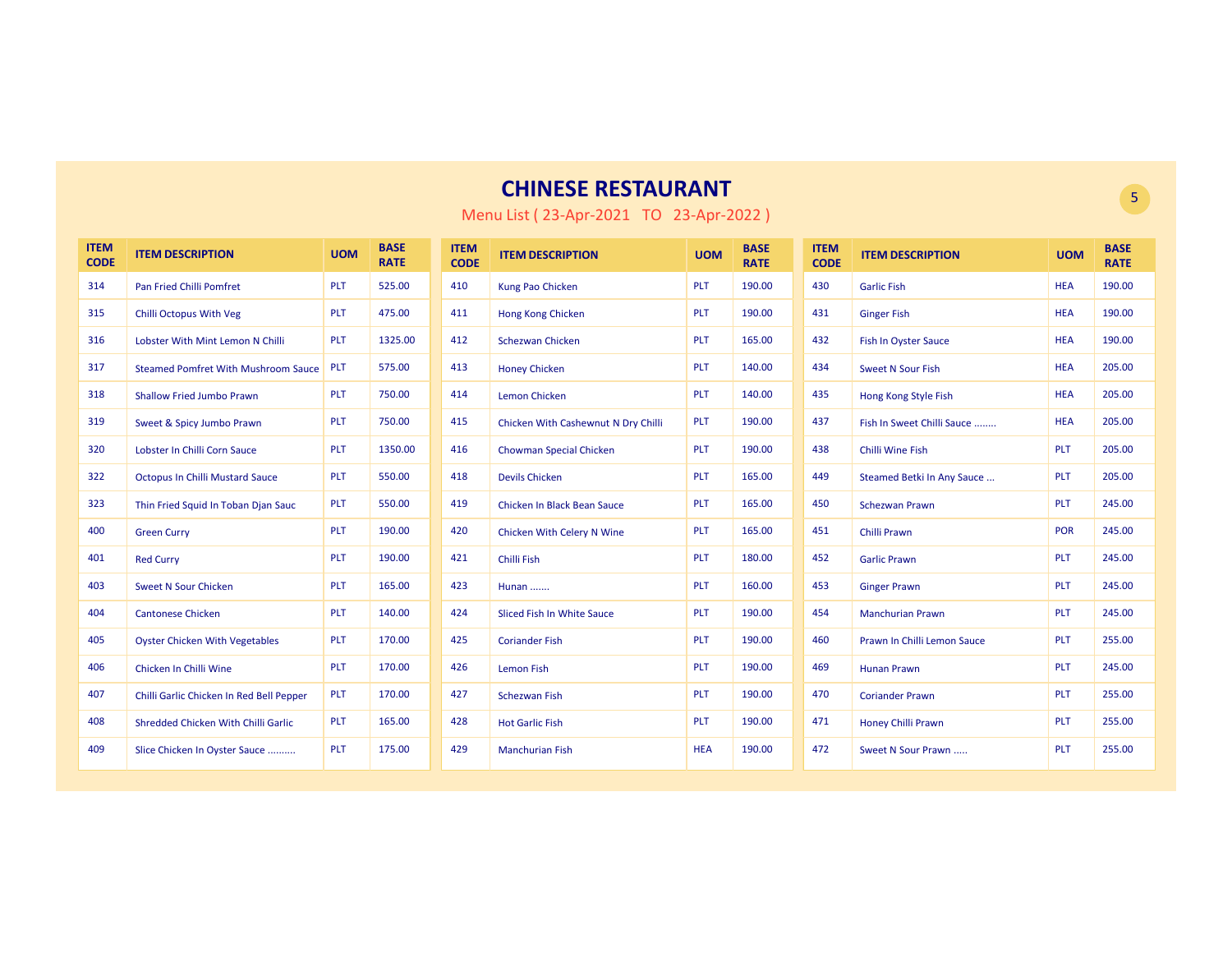| <b>ITEM</b><br><b>CODE</b> | <b>ITEM DESCRIPTION</b>                    | <b>UOM</b> | <b>BASE</b><br><b>RATE</b> | <b>ITEM</b><br><b>CODE</b> | <b>ITEM DESCRIPTION</b>             | <b>UOM</b> | <b>BASE</b><br><b>RATE</b> | <b>ITEM</b><br><b>CODE</b> | <b>ITEM DESCRIPTION</b>     | <b>UOM</b> | <b>BASE</b><br><b>RATE</b> |
|----------------------------|--------------------------------------------|------------|----------------------------|----------------------------|-------------------------------------|------------|----------------------------|----------------------------|-----------------------------|------------|----------------------------|
| 314                        | <b>Pan Fried Chilli Pomfret</b>            | PLT        | 525.00                     | 410                        | Kung Pao Chicken                    | <b>PLT</b> | 190.00                     | 430                        | <b>Garlic Fish</b>          | <b>HEA</b> | 190.00                     |
| 315                        | Chilli Octopus With Veg                    | <b>PLT</b> | 475.00                     | 411                        | Hong Kong Chicken                   | <b>PLT</b> | 190.00                     | 431                        | <b>Ginger Fish</b>          | <b>HEA</b> | 190.00                     |
| 316                        | Lobster With Mint Lemon N Chilli           | <b>PLT</b> | 1325.00                    | 412                        | <b>Schezwan Chicken</b>             | PLT        | 165.00                     | 432                        | <b>Fish In Oyster Sauce</b> | <b>HEA</b> | 190.00                     |
| 317                        | <b>Steamed Pomfret With Mushroom Sauce</b> | PLT        | 575.00                     | 413                        | <b>Honey Chicken</b>                | <b>PLT</b> | 140.00                     | 434                        | <b>Sweet N Sour Fish</b>    | <b>HEA</b> | 205.00                     |
| 318                        | <b>Shallow Fried Jumbo Prawn</b>           | <b>PLT</b> | 750.00                     | 414                        | <b>Lemon Chicken</b>                | <b>PLT</b> | 140.00                     | 435                        | Hong Kong Style Fish        | <b>HEA</b> | 205.00                     |
| 319                        | Sweet & Spicy Jumbo Prawn                  | <b>PLT</b> | 750.00                     | 415                        | Chicken With Cashewnut N Dry Chilli | <b>PLT</b> | 190.00                     | 437                        | Fish In Sweet Chilli Sauce  | <b>HEA</b> | 205.00                     |
| 320                        | Lobster In Chilli Corn Sauce               | <b>PLT</b> | 1350.00                    | 416                        | Chowman Special Chicken             | <b>PLT</b> | 190.00                     | 438                        | <b>Chilli Wine Fish</b>     | PLT        | 205.00                     |
| 322                        | <b>Octopus In Chilli Mustard Sauce</b>     | PLT        | 550.00                     | 418                        | <b>Devils Chicken</b>               | <b>PLT</b> | 165.00                     | 449                        | Steamed Betki In Any Sauce  | PLT        | 205.00                     |
| 323                        | Thin Fried Squid In Toban Djan Sauc        | PLT        | 550.00                     | 419                        | Chicken In Black Bean Sauce         | <b>PLT</b> | 165.00                     | 450                        | <b>Schezwan Prawn</b>       | <b>PLT</b> | 245.00                     |
| 400                        | <b>Green Curry</b>                         | <b>PLT</b> | 190.00                     | 420                        | Chicken With Celery N Wine          | <b>PLT</b> | 165.00                     | 451                        | Chilli Prawn                | POR        | 245.00                     |
| 401                        | <b>Red Curry</b>                           | <b>PLT</b> | 190.00                     | 421                        | <b>Chilli Fish</b>                  | <b>PLT</b> | 180.00                     | 452                        | <b>Garlic Prawn</b>         | <b>PLT</b> | 245.00                     |
| 403                        | <b>Sweet N Sour Chicken</b>                | <b>PLT</b> | 165.00                     | 423                        | <b>Hunan</b>                        | <b>PLT</b> | 160.00                     | 453                        | <b>Ginger Prawn</b>         | <b>PLT</b> | 245.00                     |
| 404                        | <b>Cantonese Chicken</b>                   | <b>PLT</b> | 140.00                     | 424                        | Sliced Fish In White Sauce          | <b>PLT</b> | 190.00                     | 454                        | <b>Manchurian Prawn</b>     | <b>PLT</b> | 245.00                     |
| 405                        | <b>Oyster Chicken With Vegetables</b>      | PLT        | 170.00                     | 425                        | <b>Coriander Fish</b>               | <b>PLT</b> | 190.00                     | 460                        | Prawn In Chilli Lemon Sauce | <b>PLT</b> | 255.00                     |
| 406                        | Chicken In Chilli Wine                     | <b>PLT</b> | 170.00                     | 426                        | <b>Lemon Fish</b>                   | <b>PLT</b> | 190.00                     | 469                        | <b>Hunan Prawn</b>          | <b>PLT</b> | 245.00                     |
| 407                        | Chilli Garlic Chicken In Red Bell Pepper   | PLT        | 170.00                     | 427                        | <b>Schezwan Fish</b>                | <b>PLT</b> | 190.00                     | 470                        | <b>Coriander Prawn</b>      | <b>PLT</b> | 255.00                     |
| 408                        | Shredded Chicken With Chilli Garlic        | <b>PLT</b> | 165.00                     | 428                        | <b>Hot Garlic Fish</b>              | <b>PLT</b> | 190.00                     | 471                        | Honey Chilli Prawn          | <b>PLT</b> | 255.00                     |
| 409                        | Slice Chicken In Oyster Sauce              | <b>PLT</b> | 175.00                     | 429                        | <b>Manchurian Fish</b>              | <b>HEA</b> | 190.00                     | 472                        | Sweet N Sour Prawn          | <b>PLT</b> | 255.00                     |

Menu List ( 23-Apr-2021 TO 23-Apr-2022 )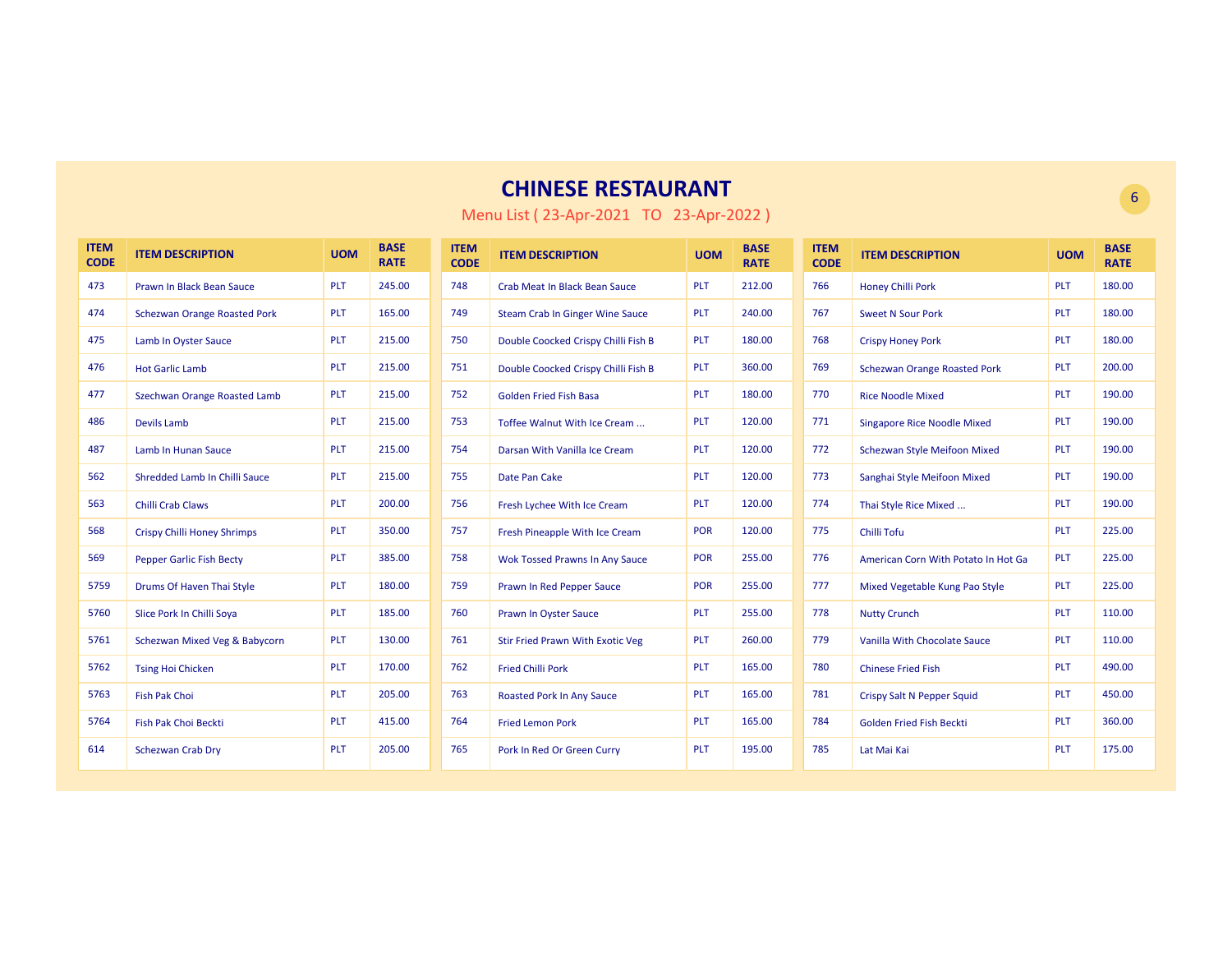| <b>ITEM</b><br><b>CODE</b> | <b>ITEM DESCRIPTION</b>             | <b>UOM</b> | <b>BASE</b><br><b>RATE</b> | <b>ITEM</b><br><b>CODE</b> | <b>ITEM DESCRIPTION</b>                | <b>UOM</b> | <b>BASE</b><br><b>RATE</b> | <b>ITEM</b><br><b>CODE</b> | <b>ITEM DESCRIPTION</b>             | <b>UOM</b> | <b>BASE</b><br><b>RATE</b> |
|----------------------------|-------------------------------------|------------|----------------------------|----------------------------|----------------------------------------|------------|----------------------------|----------------------------|-------------------------------------|------------|----------------------------|
| 473                        | Prawn In Black Bean Sauce           | <b>PLT</b> | 245.00                     | 748                        | <b>Crab Meat In Black Bean Sauce</b>   | <b>PLT</b> | 212.00                     | 766                        | <b>Honey Chilli Pork</b>            | PLT        | 180.00                     |
| 474                        | <b>Schezwan Orange Roasted Pork</b> | PLT        | 165.00                     | 749                        | <b>Steam Crab In Ginger Wine Sauce</b> | <b>PLT</b> | 240.00                     | 767                        | <b>Sweet N Sour Pork</b>            | PLT        | 180.00                     |
| 475                        | Lamb In Oyster Sauce                | <b>PLT</b> | 215.00                     | 750                        | Double Coocked Crispy Chilli Fish B    | <b>PLT</b> | 180.00                     | 768                        | <b>Crispy Honey Pork</b>            | <b>PLT</b> | 180.00                     |
| 476                        | <b>Hot Garlic Lamb</b>              | <b>PLT</b> | 215.00                     | 751                        | Double Coocked Crispy Chilli Fish B    | <b>PLT</b> | 360.00                     | 769                        | <b>Schezwan Orange Roasted Pork</b> | PLT        | 200.00                     |
| 477                        | Szechwan Orange Roasted Lamb        | <b>PLT</b> | 215.00                     | 752                        | <b>Golden Fried Fish Basa</b>          | PLT        | 180.00                     | 770                        | <b>Rice Noodle Mixed</b>            | <b>PLT</b> | 190.00                     |
| 486                        | <b>Devils Lamb</b>                  | <b>PLT</b> | 215.00                     | 753                        | Toffee Walnut With Ice Cream           | <b>PLT</b> | 120.00                     | 771                        | <b>Singapore Rice Noodle Mixed</b>  | PLT        | 190.00                     |
| 487                        | Lamb In Hunan Sauce                 | <b>PLT</b> | 215.00                     | 754                        | Darsan With Vanilla Ice Cream          | <b>PLT</b> | 120.00                     | 772                        | <b>Schezwan Style Meifoon Mixed</b> | PLT        | 190.00                     |
| 562                        | Shredded Lamb In Chilli Sauce       | <b>PLT</b> | 215.00                     | 755                        | Date Pan Cake                          | <b>PLT</b> | 120.00                     | 773                        | Sanghai Style Meifoon Mixed         | <b>PLT</b> | 190.00                     |
| 563                        | <b>Chilli Crab Claws</b>            | <b>PLT</b> | 200.00                     | 756                        | Fresh Lychee With Ice Cream            | <b>PLT</b> | 120.00                     | 774                        | Thai Style Rice Mixed               | <b>PLT</b> | 190.00                     |
| 568                        | <b>Crispy Chilli Honey Shrimps</b>  | <b>PLT</b> | 350.00                     | 757                        | Fresh Pineapple With Ice Cream         | <b>POR</b> | 120.00                     | 775                        | Chilli Tofu                         | <b>PLT</b> | 225.00                     |
| 569                        | <b>Pepper Garlic Fish Becty</b>     | <b>PLT</b> | 385.00                     | 758                        | <b>Wok Tossed Prawns In Any Sauce</b>  | <b>POR</b> | 255.00                     | 776                        | American Corn With Potato In Hot Ga | PLT        | 225.00                     |
| 5759                       | Drums Of Haven Thai Style           | <b>PLT</b> | 180.00                     | 759                        | Prawn In Red Pepper Sauce              | <b>POR</b> | 255.00                     | 777                        | Mixed Vegetable Kung Pao Style      | PLT        | 225.00                     |
| 5760                       | Slice Pork In Chilli Soya           | <b>PLT</b> | 185.00                     | 760                        | <b>Prawn In Oyster Sauce</b>           | <b>PLT</b> | 255.00                     | 778                        | <b>Nutty Crunch</b>                 | <b>PLT</b> | 110.00                     |
| 5761                       | Schezwan Mixed Veg & Babycorn       | <b>PLT</b> | 130.00                     | 761                        | Stir Fried Prawn With Exotic Veg       | <b>PLT</b> | 260.00                     | 779                        | Vanilla With Chocolate Sauce        | <b>PLT</b> | 110.00                     |
| 5762                       | <b>Tsing Hoi Chicken</b>            | <b>PLT</b> | 170.00                     | 762                        | <b>Fried Chilli Pork</b>               | <b>PLT</b> | 165.00                     | 780                        | <b>Chinese Fried Fish</b>           | <b>PLT</b> | 490.00                     |
| 5763                       | Fish Pak Choi                       | <b>PLT</b> | 205.00                     | 763                        | <b>Roasted Pork In Any Sauce</b>       | <b>PLT</b> | 165.00                     | 781                        | Crispy Salt N Pepper Squid          | <b>PLT</b> | 450.00                     |
| 5764                       | Fish Pak Choi Beckti                | <b>PLT</b> | 415.00                     | 764                        | <b>Fried Lemon Pork</b>                | <b>PLT</b> | 165.00                     | 784                        | Golden Fried Fish Beckti            | PLT        | 360.00                     |
| 614                        | <b>Schezwan Crab Dry</b>            | <b>PLT</b> | 205.00                     | 765                        | Pork In Red Or Green Curry             | <b>PLT</b> | 195.00                     | 785                        | Lat Mai Kai                         | <b>PLT</b> | 175.00                     |

Menu List ( 23-Apr-2021 TO 23-Apr-2022 )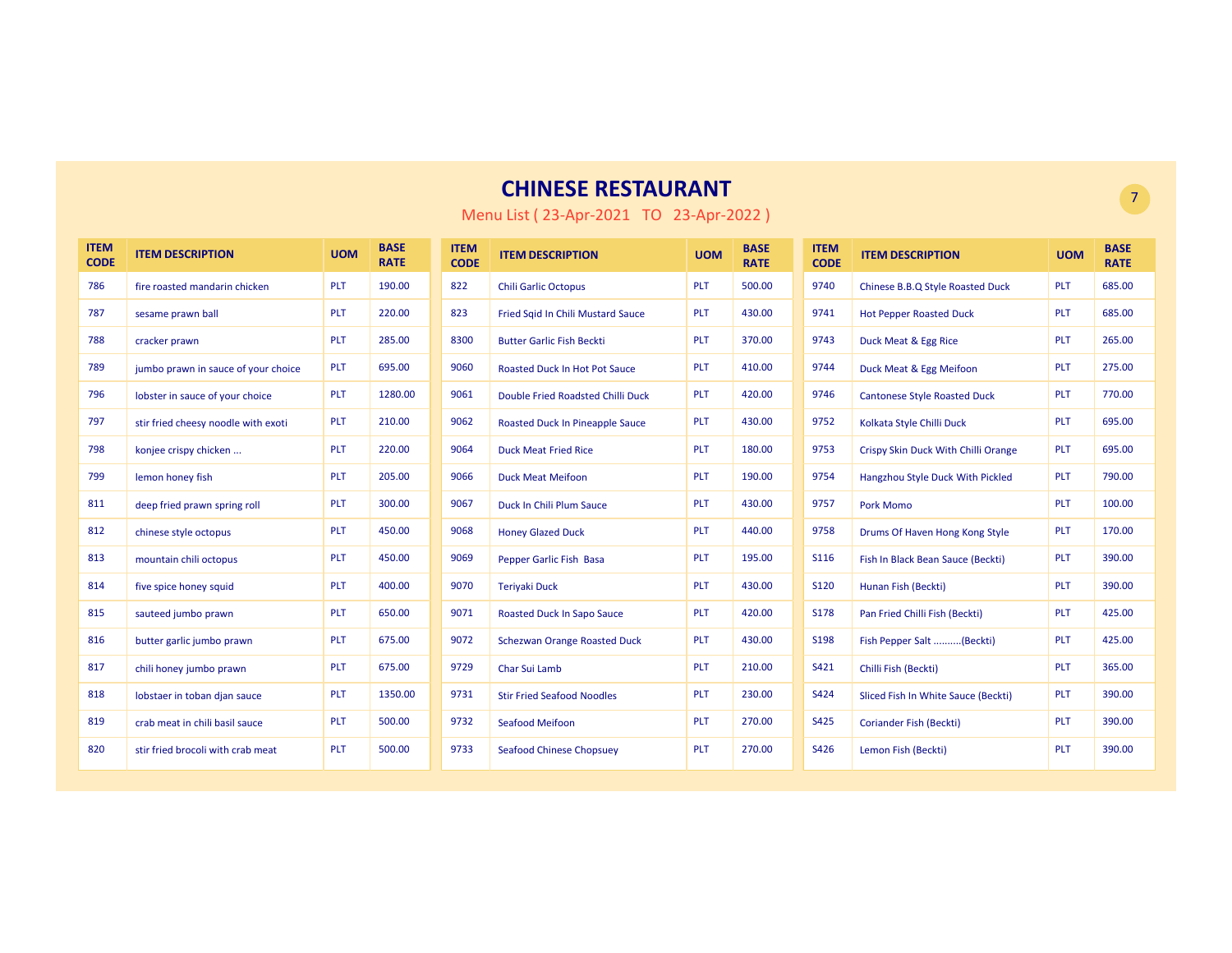| <b>ITEM</b><br><b>CODE</b> | <b>ITEM DESCRIPTION</b>             | <b>UOM</b> | <b>BASE</b><br><b>RATE</b> | <b>ITEM</b><br><b>CODE</b> | <b>ITEM DESCRIPTION</b>                | <b>UOM</b> | <b>BASE</b><br><b>RATE</b> | <b>ITEM</b><br><b>CODE</b> | <b>ITEM DESCRIPTION</b>             | <b>UOM</b> | <b>BASE</b><br><b>RATE</b> |
|----------------------------|-------------------------------------|------------|----------------------------|----------------------------|----------------------------------------|------------|----------------------------|----------------------------|-------------------------------------|------------|----------------------------|
| 786                        | fire roasted mandarin chicken       | PLT        | 190.00                     | 822                        | <b>Chili Garlic Octopus</b>            | PLT        | 500.00                     | 9740                       | Chinese B.B.Q Style Roasted Duck    | <b>PLT</b> | 685.00                     |
| 787                        | sesame prawn ball                   | <b>PLT</b> | 220.00                     | 823                        | Fried Sgid In Chili Mustard Sauce      | <b>PLT</b> | 430.00                     | 9741                       | <b>Hot Pepper Roasted Duck</b>      | <b>PLT</b> | 685.00                     |
| 788                        | cracker prawn                       | <b>PLT</b> | 285.00                     | 8300                       | <b>Butter Garlic Fish Beckti</b>       | PLT        | 370.00                     | 9743                       | Duck Meat & Egg Rice                | PLT        | 265.00                     |
| 789                        | jumbo prawn in sauce of your choice | <b>PLT</b> | 695.00                     | 9060                       | <b>Roasted Duck In Hot Pot Sauce</b>   | <b>PLT</b> | 410.00                     | 9744                       | Duck Meat & Egg Meifoon             | <b>PLT</b> | 275.00                     |
| 796                        | lobster in sauce of your choice     | PLT        | 1280.00                    | 9061                       | Double Fried Roadsted Chilli Duck      | PLT        | 420.00                     | 9746                       | <b>Cantonese Style Roasted Duck</b> | <b>PLT</b> | 770.00                     |
| 797                        | stir fried cheesy noodle with exoti | <b>PLT</b> | 210.00                     | 9062                       | <b>Roasted Duck In Pineapple Sauce</b> | <b>PLT</b> | 430.00                     | 9752                       | Kolkata Style Chilli Duck           | <b>PLT</b> | 695.00                     |
| 798                        | konjee crispy chicken               | <b>PLT</b> | 220.00                     | 9064                       | <b>Duck Meat Fried Rice</b>            | <b>PLT</b> | 180.00                     | 9753                       | Crispy Skin Duck With Chilli Orange | <b>PLT</b> | 695.00                     |
| 799                        | lemon honey fish                    | <b>PLT</b> | 205.00                     | 9066                       | <b>Duck Meat Meifoon</b>               | <b>PLT</b> | 190.00                     | 9754                       | Hangzhou Style Duck With Pickled    | <b>PLT</b> | 790.00                     |
| 811                        | deep fried prawn spring roll        | PLT        | 300.00                     | 9067                       | Duck In Chili Plum Sauce               | <b>PLT</b> | 430.00                     | 9757                       | <b>Pork Momo</b>                    | <b>PLT</b> | 100.00                     |
| 812                        | chinese style octopus               | <b>PLT</b> | 450.00                     | 9068                       | <b>Honey Glazed Duck</b>               | <b>PLT</b> | 440.00                     | 9758                       | Drums Of Haven Hong Kong Style      | <b>PLT</b> | 170.00                     |
| 813                        | mountain chili octopus              | <b>PLT</b> | 450.00                     | 9069                       | Pepper Garlic Fish Basa                | <b>PLT</b> | 195.00                     | S116                       | Fish In Black Bean Sauce (Beckti)   | <b>PLT</b> | 390.00                     |
| 814                        | five spice honey squid              | <b>PLT</b> | 400.00                     | 9070                       | <b>Teriyaki Duck</b>                   | <b>PLT</b> | 430.00                     | <b>S120</b>                | Hunan Fish (Beckti)                 | PLT        | 390.00                     |
| 815                        | sauteed jumbo prawn                 | <b>PLT</b> | 650.00                     | 9071                       | <b>Roasted Duck In Sapo Sauce</b>      | <b>PLT</b> | 420.00                     | <b>S178</b>                | Pan Fried Chilli Fish (Beckti)      | <b>PLT</b> | 425.00                     |
| 816                        | butter garlic jumbo prawn           | <b>PLT</b> | 675.00                     | 9072                       | <b>Schezwan Orange Roasted Duck</b>    | PLT        | 430.00                     | S198                       | Fish Pepper Salt (Beckti)           | <b>PLT</b> | 425.00                     |
| 817                        | chili honey jumbo prawn             | <b>PLT</b> | 675.00                     | 9729                       | Char Sui Lamb                          | <b>PLT</b> | 210.00                     | S421                       | Chilli Fish (Beckti)                | <b>PLT</b> | 365.00                     |
| 818                        | lobstaer in toban djan sauce        | PLT        | 1350.00                    | 9731                       | <b>Stir Fried Seafood Noodles</b>      | <b>PLT</b> | 230.00                     | S424                       | Sliced Fish In White Sauce (Beckti) | <b>PLT</b> | 390.00                     |
| 819                        | crab meat in chili basil sauce      | <b>PLT</b> | 500.00                     | 9732                       | <b>Seafood Meifoon</b>                 | <b>PLT</b> | 270.00                     | S425                       | <b>Coriander Fish (Beckti)</b>      | <b>PLT</b> | 390.00                     |
| 820                        | stir fried brocoli with crab meat   | <b>PLT</b> | 500.00                     | 9733                       | <b>Seafood Chinese Chopsuey</b>        | <b>PLT</b> | 270.00                     | S426                       | Lemon Fish (Beckti)                 | <b>PLT</b> | 390.00                     |

Menu List ( 23-Apr-2021 TO 23-Apr-2022 )